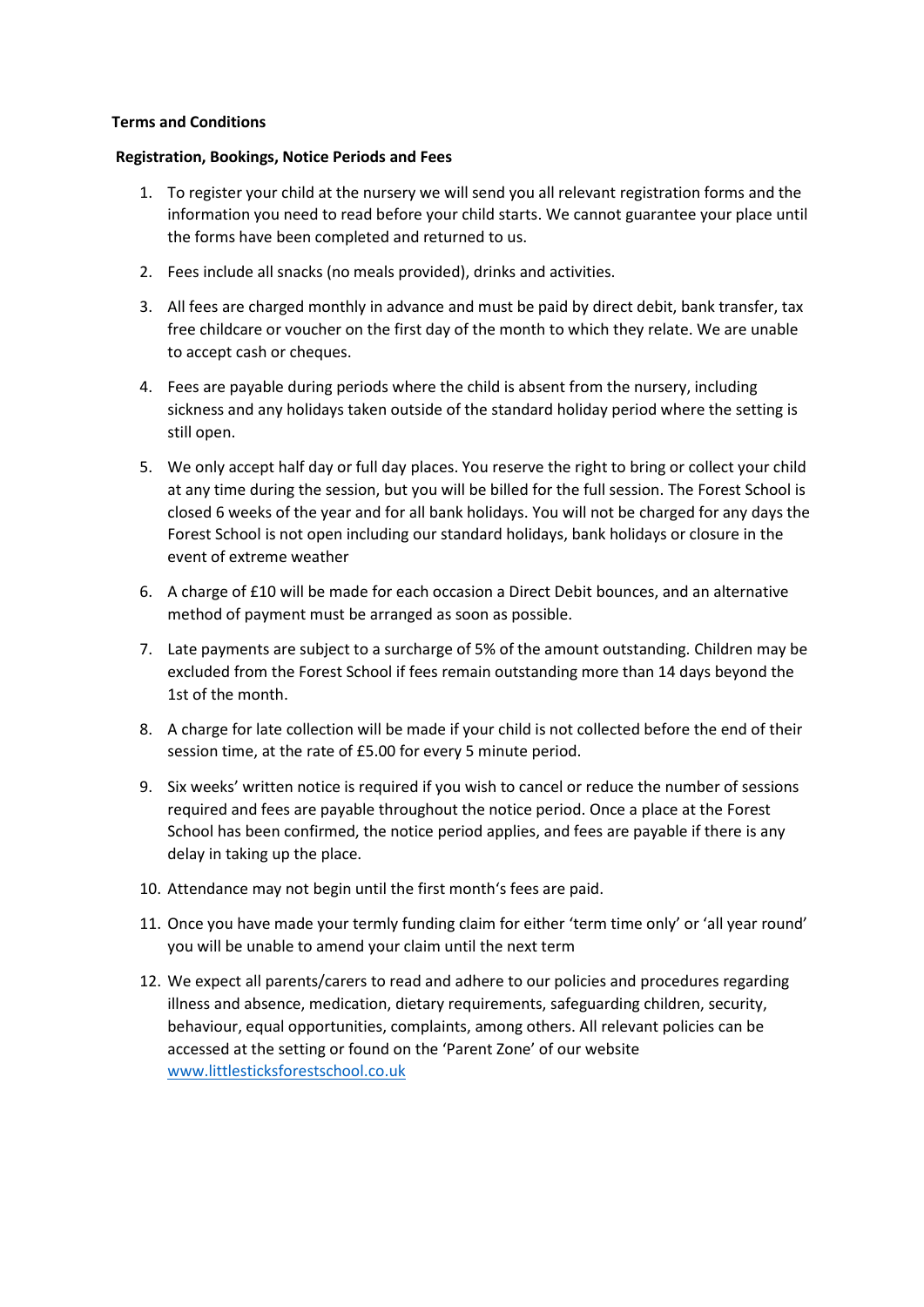## **Terms and Conditions**

## **Registration, Bookings, Notice Periods and Fees**

- 1. To register your child at the nursery we will send you all relevant registration forms and the information you need to read before your child starts. We cannot guarantee your place until the forms have been completed and returned to us.
- 2. Fees include all snacks (no meals provided), drinks and activities.
- 3. All fees are charged monthly in advance and must be paid by direct debit, bank transfer, tax free childcare or voucher on the first day of the month to which they relate. We are unable to accept cash or cheques.
- 4. Fees are payable during periods where the child is absent from the nursery, including sickness and any holidays taken outside of the standard holiday period where the setting is still open.
- 5. We only accept half day or full day places. You reserve the right to bring or collect your child at any time during the session, but you will be billed for the full session. The Forest School is closed 6 weeks of the year and for all bank holidays. You will not be charged for any days the Forest School is not open including our standard holidays, bank holidays or closure in the event of extreme weather
- 6. A charge of £10 will be made for each occasion a Direct Debit bounces, and an alternative method of payment must be arranged as soon as possible.
- 7. Late payments are subject to a surcharge of 5% of the amount outstanding. Children may be excluded from the Forest School if fees remain outstanding more than 14 days beyond the 1st of the month.
- 8. A charge for late collection will be made if your child is not collected before the end of their session time, at the rate of £5.00 for every 5 minute period.
- 9. Six weeks' written notice is required if you wish to cancel or reduce the number of sessions required and fees are payable throughout the notice period. Once a place at the Forest School has been confirmed, the notice period applies, and fees are payable if there is any delay in taking up the place.
- 10. Attendance may not begin until the first month's fees are paid.
- 11. Once you have made your termly funding claim for either 'term time only' or 'all year round' you will be unable to amend your claim until the next term
- 12. We expect all parents/carers to read and adhere to our policies and procedures regarding illness and absence, medication, dietary requirements, safeguarding children, security, behaviour, equal opportunities, complaints, among others. All relevant policies can be accessed at the setting or found on the 'Parent Zone' of our website [www.littlesticksforestschool.co.uk](http://www.littlesticksforestschool.co.uk/)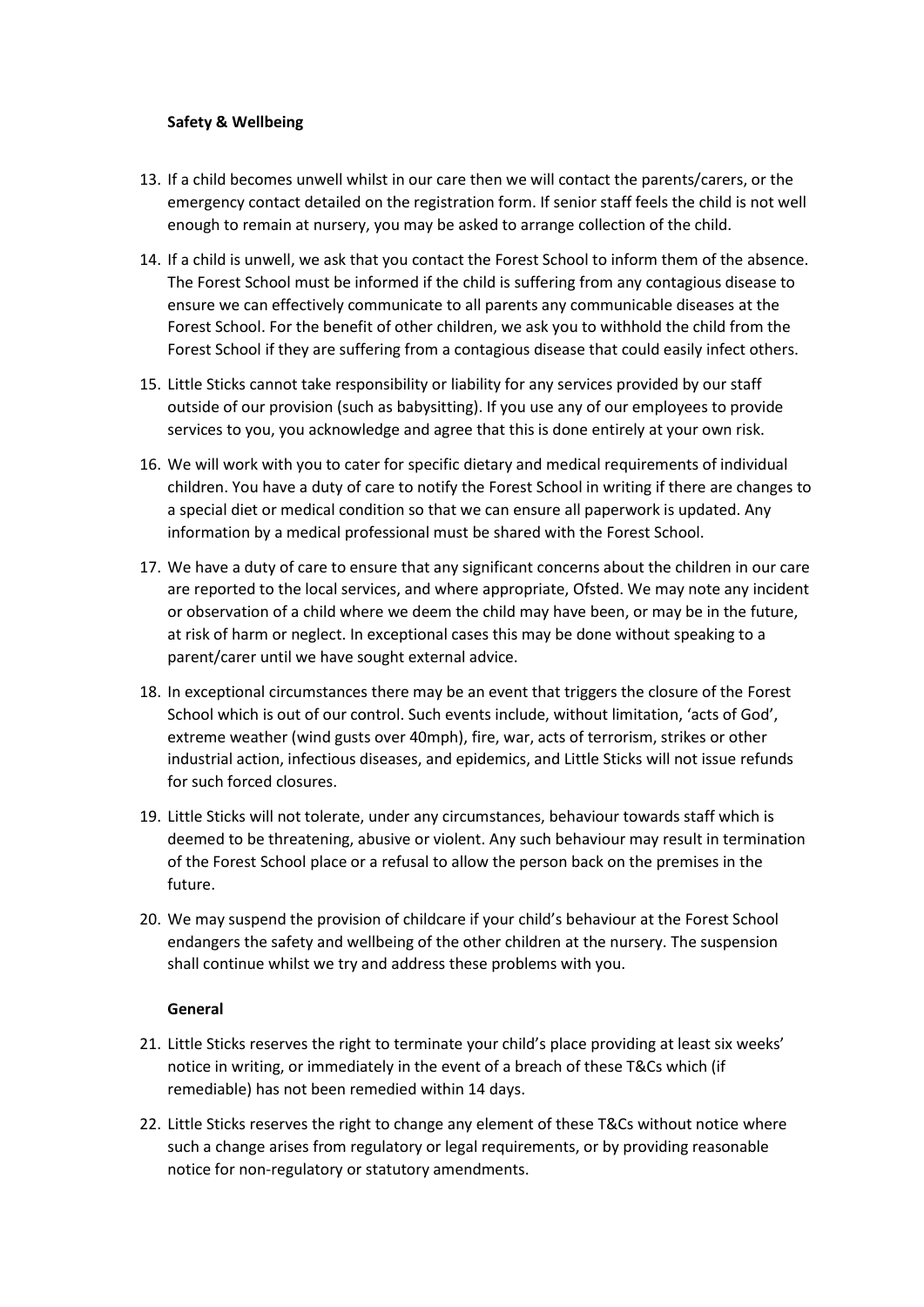## **Safety & Wellbeing**

- 13. If a child becomes unwell whilst in our care then we will contact the parents/carers, or the emergency contact detailed on the registration form. If senior staff feels the child is not well enough to remain at nursery, you may be asked to arrange collection of the child.
- 14. If a child is unwell, we ask that you contact the Forest School to inform them of the absence. The Forest School must be informed if the child is suffering from any contagious disease to ensure we can effectively communicate to all parents any communicable diseases at the Forest School. For the benefit of other children, we ask you to withhold the child from the Forest School if they are suffering from a contagious disease that could easily infect others.
- 15. Little Sticks cannot take responsibility or liability for any services provided by our staff outside of our provision (such as babysitting). If you use any of our employees to provide services to you, you acknowledge and agree that this is done entirely at your own risk.
- 16. We will work with you to cater for specific dietary and medical requirements of individual children. You have a duty of care to notify the Forest School in writing if there are changes to a special diet or medical condition so that we can ensure all paperwork is updated. Any information by a medical professional must be shared with the Forest School.
- 17. We have a duty of care to ensure that any significant concerns about the children in our care are reported to the local services, and where appropriate, Ofsted. We may note any incident or observation of a child where we deem the child may have been, or may be in the future, at risk of harm or neglect. In exceptional cases this may be done without speaking to a parent/carer until we have sought external advice.
- 18. In exceptional circumstances there may be an event that triggers the closure of the Forest School which is out of our control. Such events include, without limitation, 'acts of God', extreme weather (wind gusts over 40mph), fire, war, acts of terrorism, strikes or other industrial action, infectious diseases, and epidemics, and Little Sticks will not issue refunds for such forced closures.
- 19. Little Sticks will not tolerate, under any circumstances, behaviour towards staff which is deemed to be threatening, abusive or violent. Any such behaviour may result in termination of the Forest School place or a refusal to allow the person back on the premises in the future.
- 20. We may suspend the provision of childcare if your child's behaviour at the Forest School endangers the safety and wellbeing of the other children at the nursery. The suspension shall continue whilst we try and address these problems with you.

## **General**

- 21. Little Sticks reserves the right to terminate your child's place providing at least six weeks' notice in writing, or immediately in the event of a breach of these T&Cs which (if remediable) has not been remedied within 14 days.
- 22. Little Sticks reserves the right to change any element of these T&Cs without notice where such a change arises from regulatory or legal requirements, or by providing reasonable notice for non-regulatory or statutory amendments.